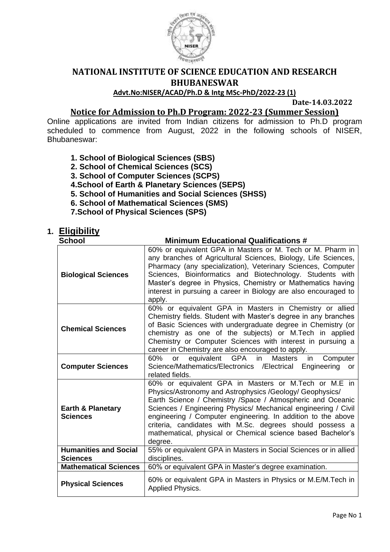

# **NATIONAL INSTITUTE OF SCIENCE EDUCATION AND RESEARCH BHUBANESWAR**

### **Advt.No:NISER/ACAD/Ph.D & Intg MSc-PhD/2022-23 (1)**

 **Date-14.03.2022**

# **Notice for Admission to Ph.D Program: 2022-23 (Summer Session)**

Online applications are invited from Indian citizens for admission to Ph.D program scheduled to commence from August, 2022 in the following schools of NISER, Bhubaneswar:

- **1. School of Biological Sciences (SBS)**
- **2. School of Chemical Sciences (SCS)**
- **3. School of Computer Sciences (SCPS)**
- **4.School of Earth & Planetary Sciences (SEPS)**
- **5. School of Humanities and Social Sciences (SHSS)**
- **6. School of Mathematical Sciences (SMS)**
- **7.School of Physical Sciences (SPS)**

# **1. Eligibility**

| <b>School</b>                                   | <b>Minimum Educational Qualifications #</b>                                                                                                                                                                                                                                                                                                                                                                                                             |  |  |
|-------------------------------------------------|---------------------------------------------------------------------------------------------------------------------------------------------------------------------------------------------------------------------------------------------------------------------------------------------------------------------------------------------------------------------------------------------------------------------------------------------------------|--|--|
| <b>Biological Sciences</b>                      | 60% or equivalent GPA in Masters or M. Tech or M. Pharm in<br>any branches of Agricultural Sciences, Biology, Life Sciences,<br>Pharmacy (any specialization), Veterinary Sciences, Computer<br>Sciences, Bioinformatics and Biotechnology. Students with<br>Master's degree in Physics, Chemistry or Mathematics having<br>interest in pursuing a career in Biology are also encouraged to<br>apply.                                                   |  |  |
| <b>Chemical Sciences</b>                        | 60% or equivalent GPA in Masters in Chemistry or allied<br>Chemistry fields. Student with Master's degree in any branches<br>of Basic Sciences with undergraduate degree in Chemistry (or<br>chemistry as one of the subjects) or M.Tech in applied<br>Chemistry or Computer Sciences with interest in pursuing a<br>career in Chemistry are also encouraged to apply.                                                                                  |  |  |
| <b>Computer Sciences</b>                        | 60%<br>equivalent GPA in<br>Masters<br>Computer<br><b>or</b><br>in.<br>Science/Mathematics/Electronics /Electrical<br>Engineering<br>or<br>related fields.                                                                                                                                                                                                                                                                                              |  |  |
| <b>Earth &amp; Planetary</b><br><b>Sciences</b> | 60% or equivalent GPA in Masters or M.Tech or M.E in<br>Physics/Astronomy and Astrophysics /Geology/ Geophysics/<br>Earth Science / Chemistry / Space / Atmospheric and Oceanic<br>Sciences / Engineering Physics/ Mechanical engineering / Civil<br>engineering / Computer engineering. In addition to the above<br>criteria, candidates with M.Sc. degrees should possess a<br>mathematical, physical or Chemical science based Bachelor's<br>degree. |  |  |
| <b>Humanities and Social</b><br><b>Sciences</b> | 55% or equivalent GPA in Masters in Social Sciences or in allied<br>disciplines.                                                                                                                                                                                                                                                                                                                                                                        |  |  |
| <b>Mathematical Sciences</b>                    | 60% or equivalent GPA in Master's degree examination.                                                                                                                                                                                                                                                                                                                                                                                                   |  |  |
| <b>Physical Sciences</b>                        | 60% or equivalent GPA in Masters in Physics or M.E/M.Tech in<br><b>Applied Physics.</b>                                                                                                                                                                                                                                                                                                                                                                 |  |  |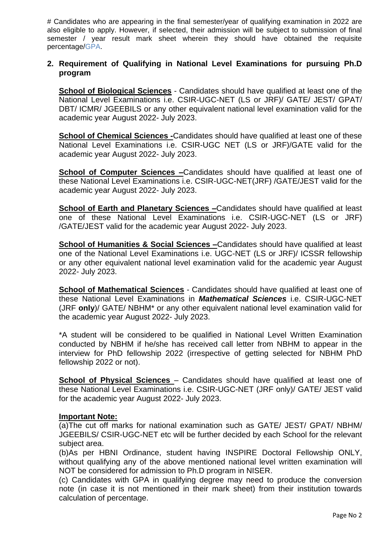# Candidates who are appearing in the final semester/year of qualifying examination in 2022 are also eligible to apply. However, if selected, their admission will be subject to submission of final semester / year result mark sheet wherein they should have obtained the requisite percentage/GPA.

### **2. Requirement of Qualifying in National Level Examinations for pursuing Ph.D program**

**School of Biological Sciences** - Candidates should have qualified at least one of the National Level Examinations i.e. CSIR-UGC-NET (LS or JRF)/ GATE/ JEST/ GPAT/ DBT/ ICMR/ JGEEBILS or any other equivalent national level examination valid for the academic year August 2022- July 2023.

**School of Chemical Sciences -**Candidates should have qualified at least one of these National Level Examinations i.e. CSIR-UGC NET (LS or JRF)/GATE valid for the academic year August 2022- July 2023.

**School of Computer Sciences –**Candidates should have qualified at least one of these National Level Examinations i.e. CSIR-UGC-NET(JRF) /GATE/JEST valid for the academic year August 2022- July 2023.

**School of Earth and Planetary Sciences –**Candidates should have qualified at least one of these National Level Examinations i.e. CSIR-UGC-NET (LS or JRF) /GATE/JEST valid for the academic year August 2022- July 2023.

**School of Humanities & Social Sciences –**Candidates should have qualified at least one of the National Level Examinations i.e. UGC-NET (LS or JRF)/ ICSSR fellowship or any other equivalent national level examination valid for the academic year August 2022- July 2023.

**School of Mathematical Sciences** - Candidates should have qualified at least one of these National Level Examinations in *Mathematical Sciences* i.e. CSIR-UGC-NET (JRF **only**)/ GATE/ NBHM\* or any other equivalent national level examination valid for the academic year August 2022- July 2023.

\*A student will be considered to be qualified in National Level Written Examination conducted by NBHM if he/she has received call letter from NBHM to appear in the interview for PhD fellowship 2022 (irrespective of getting selected for NBHM PhD fellowship 2022 or not).

**School of Physical Sciences** – Candidates should have qualified at least one of these National Level Examinations i.e. CSIR-UGC-NET (JRF only)/ GATE/ JEST valid for the academic year August 2022- July 2023.

#### **Important Note:**

(a)The cut off marks for national examination such as GATE/ JEST/ GPAT/ NBHM/ JGEEBILS/ CSIR-UGC-NET etc will be further decided by each School for the relevant subject area.

(b)As per HBNI Ordinance, student having INSPIRE Doctoral Fellowship ONLY, without qualifying any of the above mentioned national level written examination will NOT be considered for admission to Ph.D program in NISER.

(c) Candidates with GPA in qualifying degree may need to produce the conversion note (in case it is not mentioned in their mark sheet) from their institution towards calculation of percentage.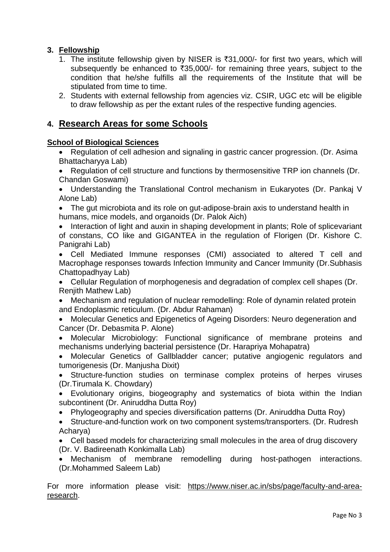# **3. Fellowship**

- 1. The institute fellowship given by NISER is  $\bar{\tau}$ 31,000/- for first two years, which will subsequently be enhanced to  $\overline{3}35,000/1$  for remaining three years, subject to the condition that he/she fulfills all the requirements of the Institute that will be stipulated from time to time.
- 2. Students with external fellowship from agencies viz. CSIR, UGC etc will be eligible to draw fellowship as per the extant rules of the respective funding agencies.

# **4. Research Areas for some Schools**

### **School of Biological Sciences**

- Regulation of cell adhesion and signaling in gastric cancer progression. (Dr. Asima Bhattacharyya Lab)
- Regulation of cell structure and functions by thermosensitive TRP ion channels (Dr. Chandan Goswami)
- Understanding the Translational Control mechanism in Eukaryotes (Dr. Pankaj V Alone Lab)
- The gut microbiota and its role on gut-adipose-brain axis to understand health in humans, mice models, and organoids (Dr. Palok Aich)
- Interaction of light and auxin in shaping development in plants: Role of splicevariant of constans, CO like and GIGANTEA in the regulation of Florigen (Dr. Kishore C. Panigrahi Lab)
- Cell Mediated Immune responses (CMI) associated to altered T cell and Macrophage responses towards Infection Immunity and Cancer Immunity (Dr.Subhasis Chattopadhyay Lab)
- Cellular Regulation of morphogenesis and degradation of complex cell shapes (Dr. Renjith Mathew Lab)
- Mechanism and regulation of nuclear remodelling: Role of dynamin related protein and Endoplasmic reticulum. (Dr. Abdur Rahaman)
- Molecular Genetics and Epigenetics of Ageing Disorders: Neuro degeneration and Cancer (Dr. Debasmita P. Alone)
- Molecular Microbiology: Functional significance of membrane proteins and mechanisms underlying bacterial persistence (Dr. Harapriya Mohapatra)
- Molecular Genetics of Gallbladder cancer; putative angiogenic regulators and tumorigenesis (Dr. Manjusha Dixit)
- Structure-function studies on terminase complex proteins of herpes viruses (Dr.Tirumala K. Chowdary)
- Evolutionary origins, biogeography and systematics of biota within the Indian subcontinent (Dr. Aniruddha Dutta Roy)
- Phylogeography and species diversification patterns (Dr. Aniruddha Dutta Roy)
- Structure-and-function work on two component systems/transporters. (Dr. Rudresh Acharya)
- Cell based models for characterizing small molecules in the area of drug discovery (Dr. V. Badireenath Konkimalla Lab)
- Mechanism of membrane remodelling during host-pathogen interactions. (Dr.Mohammed Saleem Lab)

For more information please visit: [https://www.niser.ac.in/sbs/page/faculty-and-area](https://www.niser.ac.in/sbs/page/faculty-and-area-research)[research.](https://www.niser.ac.in/sbs/page/faculty-and-area-research)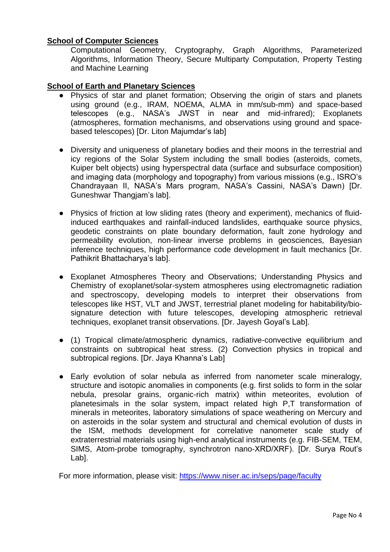### **School of Computer Sciences**

Computational Geometry, Cryptography, Graph Algorithms, Parameterized Algorithms, Information Theory, Secure Multiparty Computation, Property Testing and Machine Learning

### **School of Earth and Planetary Sciences**

- Physics of star and planet formation; Observing the origin of stars and planets using ground (e.g., IRAM, NOEMA, ALMA in mm/sub-mm) and space-based telescopes (e.g., NASA's JWST in near and mid-infrared); Exoplanets (atmospheres, formation mechanisms, and observations using ground and spacebased telescopes) [Dr. Liton Majumdar's lab]
- Diversity and uniqueness of planetary bodies and their moons in the terrestrial and icy regions of the Solar System including the small bodies (asteroids, comets, Kuiper belt objects) using hyperspectral data (surface and subsurface composition) and imaging data (morphology and topography) from various missions (e.g., ISRO's Chandrayaan II, NASA's Mars program, NASA's Cassini, NASA's Dawn) [Dr. Guneshwar Thangjam's lab].
- Physics of friction at low sliding rates (theory and experiment), mechanics of fluidinduced earthquakes and rainfall-induced landslides, earthquake source physics, geodetic constraints on plate boundary deformation, fault zone hydrology and permeability evolution, non-linear inverse problems in geosciences, Bayesian inference techniques, high performance code development in fault mechanics [Dr. Pathikrit Bhattacharya's lab].
- Exoplanet Atmospheres Theory and Observations; Understanding Physics and Chemistry of exoplanet/solar-system atmospheres using electromagnetic radiation and spectroscopy, developing models to interpret their observations from telescopes like HST, VLT and JWST, terrestrial planet modeling for habitability/biosignature detection with future telescopes, developing atmospheric retrieval techniques, exoplanet transit observations. [Dr. Jayesh Goyal's Lab].
- (1) Tropical climate/atmospheric dynamics, radiative-convective equilibrium and constraints on subtropical heat stress. (2) Convection physics in tropical and subtropical regions. [Dr. Jaya Khanna's Lab]
- Early evolution of solar nebula as inferred from nanometer scale mineralogy, structure and isotopic anomalies in components (e.g. first solids to form in the solar nebula, presolar grains, organic-rich matrix) within meteorites, evolution of planetesimals in the solar system, impact related high P,T transformation of minerals in meteorites, laboratory simulations of space weathering on Mercury and on asteroids in the solar system and structural and chemical evolution of dusts in the ISM, methods development for correlative nanometer scale study of extraterrestrial materials using high-end analytical instruments (e.g. FIB-SEM, TEM, SIMS, Atom-probe tomography, synchrotron nano-XRD/XRF). [Dr. Surya Rout's Lab].

For more information, please visit:<https://www.niser.ac.in/seps/page/faculty>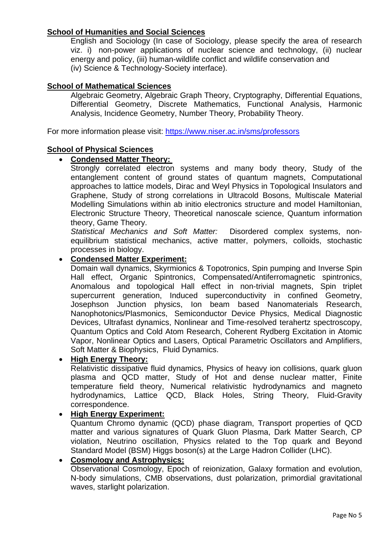### **School of Humanities and Social Sciences**

English and Sociology (In case of Sociology, please specify the area of research viz. i) non-power applications of nuclear science and technology, (ii) nuclear energy and policy, (iii) human-wildlife conflict and wildlife conservation and (iv) Science & Technology-Society interface).

### **School of Mathematical Sciences**

Algebraic Geometry, Algebraic Graph Theory, Cryptography, Differential Equations, Differential Geometry, Discrete Mathematics, Functional Analysis, Harmonic Analysis, Incidence Geometry, Number Theory, Probability Theory.

For more information please visit: <https://www.niser.ac.in/sms/professors>

#### **School of Physical Sciences**

#### **Condensed Matter Theory:**

Strongly correlated electron systems and many body theory, Study of the entanglement content of ground states of quantum magnets, Computational approaches to lattice models, Dirac and Weyl Physics in Topological Insulators and Graphene, Study of strong correlations in Ultracold Bosons, Multiscale Material Modelling Simulations within ab initio electronics structure and model Hamiltonian, Electronic Structure Theory, Theoretical nanoscale science, Quantum information theory, Game Theory.

*Statistical Mechanics and Soft Matter:* Disordered complex systems, nonequilibrium statistical mechanics, active matter, polymers, colloids, stochastic processes in biology.

#### **Condensed Matter Experiment:**

Domain wall dynamics, Skyrmionics & Topotronics, Spin pumping and Inverse Spin Hall effect, Organic Spintronics, Compensated/Antiferromagnetic spintronics, Anomalous and topological Hall effect in non-trivial magnets, Spin triplet supercurrent generation, Induced superconductivity in confined Geometry, Josephson Junction physics, Ion beam based Nanomaterials Research, Nanophotonics/Plasmonics, Semiconductor Device Physics, Medical Diagnostic Devices, Ultrafast dynamics, Nonlinear and Time-resolved terahertz spectroscopy, Quantum Optics and Cold Atom Research, Coherent Rydberg Excitation in Atomic Vapor, Nonlinear Optics and Lasers, Optical Parametric Oscillators and Amplifiers, Soft Matter & Biophysics, Fluid Dynamics.

#### **High Energy Theory:**

Relativistic dissipative fluid dynamics, Physics of heavy ion collisions, quark gluon plasma and QCD matter, Study of Hot and dense nuclear matter, Finite temperature field theory, Numerical relativistic hydrodynamics and magneto hydrodynamics, Lattice QCD, Black Holes, String Theory, Fluid-Gravity correspondence.

#### **High Energy Experiment:**

Quantum Chromo dynamic (QCD) phase diagram, Transport properties of QCD matter and various signatures of Quark Gluon Plasma, Dark Matter Search, CP violation, Neutrino oscillation, Physics related to the Top quark and Beyond Standard Model (BSM) Higgs boson(s) at the Large Hadron Collider (LHC).

# **Cosmology and Astrophysics:**

Observational Cosmology, Epoch of reionization, Galaxy formation and evolution, N-body simulations, CMB observations, dust polarization, primordial gravitational waves, starlight polarization.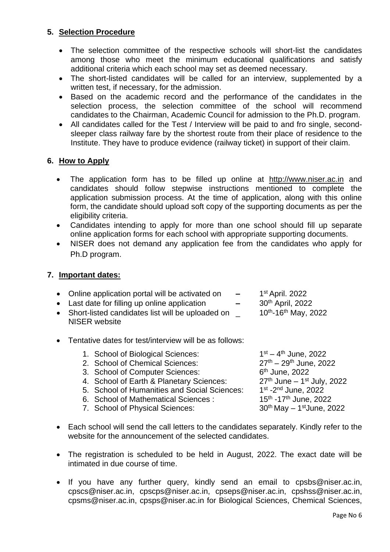## **5. Selection Procedure**

- The selection committee of the respective schools will short-list the candidates among those who meet the minimum educational qualifications and satisfy additional criteria which each school may set as deemed necessary.
- The short-listed candidates will be called for an interview, supplemented by a written test, if necessary, for the admission.
- Based on the academic record and the performance of the candidates in the selection process, the selection committee of the school will recommend candidates to the Chairman, Academic Council for admission to the Ph.D. program.
- All candidates called for the Test / Interview will be paid to and fro single, secondsleeper class railway fare by the shortest route from their place of residence to the Institute. They have to produce evidence (railway ticket) in support of their claim.

### **6. How to Apply**

- The application form has to be filled up online at [http://www.niser.ac.in](http://www.niser.ac.in/_____) and candidates should follow stepwise instructions mentioned to complete the application submission process. At the time of application, along with this online form, the candidate should upload soft copy of the supporting documents as per the eligibility criteria.
- Candidates intending to apply for more than one school should fill up separate online application forms for each school with appropriate supporting documents.
- NISER does not demand any application fee from the candidates who apply for Ph.D program.

### **7. Important dates:**

| • Online application portal will be activated on                    | $\sim$   | 1 <sup>st</sup> April. 2022           |
|---------------------------------------------------------------------|----------|---------------------------------------|
| • Last date for filling up online application                       | $\equiv$ | 30 <sup>th</sup> April, 2022          |
| • Short-listed candidates list will be uploaded on<br>NISER website |          | $10^{th}$ -16 <sup>th</sup> May, 2022 |

Tentative dates for test/interview will be as follows:

| 1. School of Biological Sciences:            | $1^{st} - 4^{th}$ June, 2022                  |
|----------------------------------------------|-----------------------------------------------|
| 2. School of Chemical Sciences:              | $27^{th} - 29^{th}$ June, 2022                |
| 3. School of Computer Sciences:              | 6 <sup>th</sup> June, 2022                    |
| 4. School of Earth & Planetary Sciences:     | $27th$ June – 1 <sup>st</sup> July, 2022      |
| 5. School of Humanities and Social Sciences: | 1 <sup>st</sup> -2 <sup>nd</sup> June, 2022   |
| 6. School of Mathematical Sciences:          | 15 <sup>th</sup> -17 <sup>th</sup> June, 2022 |
| 7. School of Physical Sciences:              | $30th$ May $-1st$ June, 2022                  |
|                                              |                                               |

- Each school will send the call letters to the candidates separately. Kindly refer to the website for the announcement of the selected candidates.
- The registration is scheduled to be held in August, 2022. The exact date will be intimated in due course of time.
- If you have any further query, kindly send an email to [cpsbs@niser.ac.in,](mailto:cpsbs@niser.ac.in) [cpscs@niser.ac.in,](mailto:cpscs@niser.ac.in) [cpscps@niser.ac.in,](mailto:cpscps@niser.ac.in) [cpseps@niser.ac.in,](mailto:cpseps@niser.ac.in) [cpshss@niser.ac.in,](mailto:cpshss@niser.ac.in) [cpsms@niser.ac.in,](mailto:cpsms@niser.ac.in) [cpsps@niser.ac.in](mailto:cpsps@niser.ac.in) for Biological Sciences, Chemical Sciences,